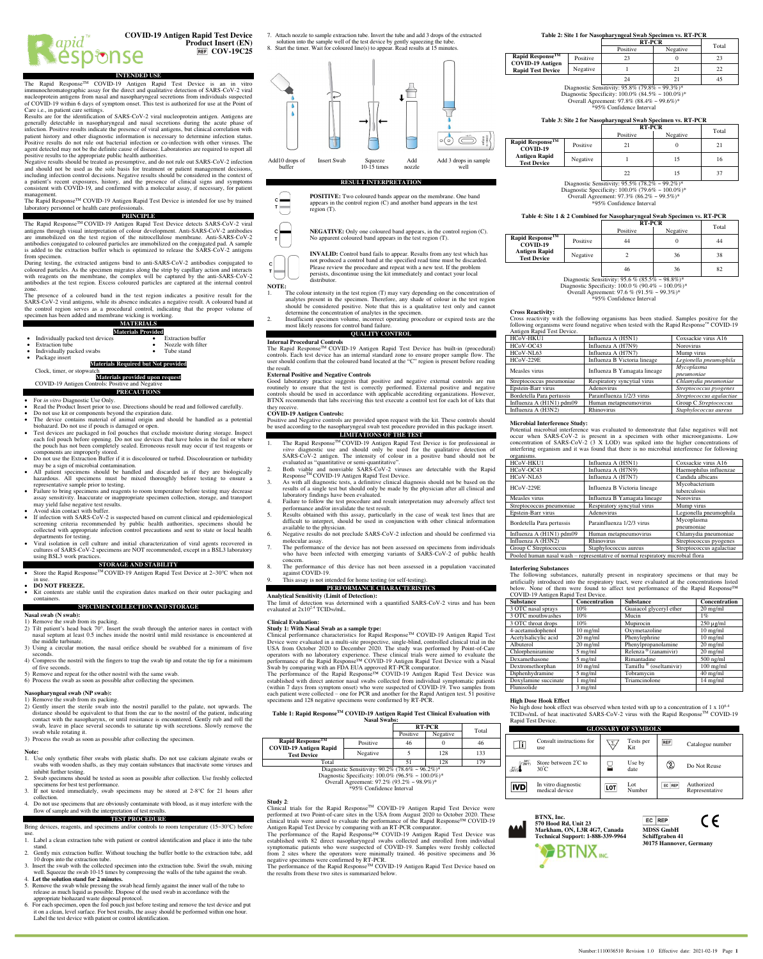

**Product Insert (EN) REF** COV-19C25

**INTENDED USE** The Rapid Response<sup>™</sup> COVID-19 Antigen Rapid Test Device is an in vitro immunochromatographic assay for the direct and qualitative detection of SARS-CoV-2 viral nucleoprotein antigens from nasal and nasopharyngeal secretions from individuals suspected of COVID-19 within 6 days of symptom onset. This test is authorized for use at the Point of Care i.e., in patient care settings.

Results are for the identification of SARS-CoV-2 viral nucleoprotein antigen. Antigens are generally detectable in nasopharyngeal and nasal secretions during the acute phase of infection. Positive results indicate the presence of viral antigens, but clinical correlation with patient history and other diagnostic information is necessary to determine infection status. Positive results do not rule out bacterial infection or co-infection with other viruses. The agent detected may not be the definite cause of disease. Laboratories are required to report all positive results to the appropriate public health authorities.

Negative results should be treated as presumptive, and do not rule out SARS-CoV-2 infection and should not be used as the sole basis for treatment or patient management decisions, including infection control decisions. Negative results should be considered in the context of a patient's recent exposures, history, and the presence of clinical signs and symptoms consistent with COVID-19, and confirmed with a molecular assay, if necessary, for patient management.

The Rapid Response<sup>TM</sup> COVID-19 Antigen Rapid Test Device is intended for use by trained laboratory personnel or health care professional

**PRINCIPLE** The Rapid Response<sup>™</sup> COVID-19 Antigen Rapid Test Device detects SARS-CoV-2 viral antigens through visual interpretation of colour development. Anti-SARS-CoV-2 antibodies are immobilized on the test region of the nitrocellulose membrane. Anti-SARS-CoV-2 antibodies conjugated to coloured particles are immobilized on the conjugated pad. A sample is added to the extraction buffer which is optimized to release the SARS-CoV-2 antigens from specimen.

During testing, the extracted antigens bind to anti-SARS-CoV-2 antibodies conjugated to coloured particles. As the specimen migrates along the strip by capillary action and interacts with reagents on the membrane, the complex will be captured by the anti-SARS-CoV-2 antibodies at the test region. Excess coloured particles are captured at the internal control zone.

The presence of a coloured band in the test region indicates a positive result for the SARS-CoV-2 viral antigens, while its absence indicates a negative result. A coloured band at the control region serves as a procedural control, indicating that the proper volume of specimen has been added and membrane wicking is working.

# **MATERIALS**

- **Materials Provided** Individually packed test devices<br>Extraction tube Nozzle with filter<br>Tube stand Individually packed swabs
- Package insert

## **Materials Required but Not provided**

#### $Clock$  timer, or stopy **Materials provided upon request**

COVID-19 Antigen Controls: Positive and Ne **PRECAUTIONS**

- For *in vitro* Diagnostic Use Only.
- 
- Read the Product Insert prior to use. Directions should be read and followed carefully.<br>• Do not use kit or components beyond the expiration date.
- The device contains material of animal origin and should be handled as a potential biohazard. Do not use if pouch is damaged or open.
- Test devices are packaged in foil pouches that exclude moisture during storage. Inspect each foil pouch before opening. Do not use devices that have holes in the foil or where the pouch has not been completely sealed. Erroneous result may occur if test reagents or components are improperly stored. • Do not use the Extraction Buffer if it is discoloured or turbid. Discolouration or turbidity
- may be a sign of microbial contamination. <sup>h</sup> all patient specimens should be handled and discarded as if they are biologically
- hazardous. All specimens must be mixed thoroughly before testing to ensure a representative sample prior to testing. Failure to bring specimens and reagents to room temperature before testing may decrease
- assay sensitivity. Inaccurate or inappropriate specimen collection, storage, and transport may yield false negative test results. • Avoid skin contact with buffer.
- If infection with SARS-CoV-2 is suspected based on current clinical and epidemiological screening criteria recommended by public health authorities, specimens should be collected with appropriate infection control precautions and sent to state or local health departments for testing.
- Viral isolation in cell culture and initial characterization of viral agents recovered in cultures of SARS-CoV-2 specimens are NOT recommended, except in a BSL3 laboratory using BSL3 work practices.

## **STORAGE AND STABILITY** Store the Rapid Response<sup>™</sup>COVID-19 Antigen Rapid Test Device at 2~30°C when not

- in use.
- **DO NOT FREEZE.**  • Kit contents are stable until the expiration dates marked on their outer packaging and containers.

# **SPECIMEN COLLECTION AND STORAGE**

#### **Nasal swab (N swab):**  1) Remove the swab from its packing.

- 2) Tilt patient's head back 70°. Insert the swab through the anterior nares in contact with nasal septum at least 0.5 inches inside the nostril until mild resistance is encountered at
- the middle turbinate.
- 3) Using a circular motion, the nasal orifice should be swabbed for a minimum of five seconds.
- 4) Compress the nostril with the fingers to trap the swab tip and rotate the tip for a minimum of five seconds.
- 5) Remove and repeat for the other nostril with the same swab.

6) Process the swab as soon as possible after collecting the specimen.

#### **Nasopharyngeal swab (NP swab):**  1) Remove the swab from its packing.

- 2) Gently insert the sterile swab into the nostril parallel to the palate, not upwards. The distance should be equivalent to that from the ear to the nostril of the patient, indicating contact with the nasopharynx, or until resistance is encountered. Gently rub and roll the swab, leave in place several seconds to saturate tip with secretions. Slowly remove the swab while rotating it.
- 3) Process the swab as soon as possible after collecting the specimen.

## **Note:**

- 1. Use only synthetic fiber swabs with plastic shafts. Do not use calcium alginate swabs or swabs with wooden shafts, as they may contain substances that inactivate some viruses and inhibit further testing.
- Swab specimens should be tested as soon as possible after collection. Use freshly collection specimens for best test performance. 3. If not tested immediately, swab specimens may be stored at 2-8°C for 21 hours after
- collection. 4. Do not use specimens that are obviously contaminate with blood, as it may interfere with the
- flow of sample and with the interpretation of test results. **TEST PROCEDURE**
- Bring devices, reagents, and specimens and/or controls to room temperature (15~30℃) before use. 1. Label a clean extraction tube with patient or control identification and place it into the tube
- stand.
- 2. Gently mix extraction buffer. Without touching the buffer bottle to the extraction tube, add 10 drops into the extraction tube. 3. Insert the swab with the collected specimen into the extraction tube. Swirl the swab, mixing
- well. Squeeze the swab 10-15 times by compressing the walls of the tube against the swab. 4. **Let the solution stand for 2 minutes.**
- 5. Remove the swab while pressing the swab head firmly against the inner wall of the tube to release as much liquid as possible. Dispose of the used swab in accordance with the appropriate biohazard waste disposal protocol.
- 6. For each specimen, open the foil pouch just before testing and remove the test device and put it on a clean, level surface. For best results, the assay should be performed within one hour. Label the test device with patient or control identification.

7. Attach nozzle to sample extraction tube. Invert the tube and add 3 drops of the extracted solution into the sample well of the test device by gently squeezing the tube. 8. Start the timer. Wait for coloured line(s) to appear. Read results at 15 minutes.



# **RESULT INTERPRETATION**

**POSITIVE:** Two coloured bands appear on the membrane. One band appears in the control region (C) and another band appears in the test region (T).

**NEGATIVE:** Only one coloured band appears, in the control region (C). No apparent coloured band appears in the test region (T).

**INVALID:** Control band fails to appear. Results from any test which has not produced a control band at the specified read time must be discarded. Please review the procedure and repeat with a new test. If the problem persists, discontinue using the kit immediately and contact your local distributor.

## **NOTE:**

The colour intensity in the test region (T) may vary depending on the concentration of analytes present in the specimen. Therefore, any shade of colour in the test region should be considered positive. Note that this is a qualitative test only and cannot determine the concentration of analytes in the specimen.

2. Insufficient specimen volume, incorrect operating procedure or expired tests are the most likely reasons for control band failure. **QUALITY CONTROL**

# **Internal Procedural Controls**

The Rapid Response<sup>™</sup> COVID-19 Antigen Rapid Test Device has built-in (procedural) controls. Each test device has an internal standard zone to ensure proper sample flow. The user should confirm that the coloured band loca the result.

## **External Positive and Negative Controls**

Good laboratory practice suggests that positive and negative external controls are run routinely to ensure that the test is correctly performed. External positive and negative controls should be used in accordance with applicable accrediting organizations. However, BTNX recommends that labs receiving this test execute a control test for each lot of kits that

# they receive. **COVID-19 Antigen Controls:**

Positive and Negative controls are provided upon request with the kit. These controls should be used according to the nasopharyngeal swab test procedure provided in this package insert. **LIMITATIONS OF THE TEST**

- 1. The Rapid ResponseTM COVID-19 Antigen Rapid Test Device is for professional *in*
- *vitro* diagnostic use and should only be used for the qualitative detection of SARS-CoV-2 antigen. The intensity of colour in a positive band should not be evaluated as "quantitative or semi-quantitative". 2. Both viable and nonviable SARS-CoV-2 viruses are detectable with the Rapid
- ResponseTM COVID-19 Antigen Rapid Test Device. 3. As with all diagnostic tests, a definitive clinical diagnosis should not be based on the results of a single test but should only be made by the physician after all clinical and
- laboratory findings have been evaluated. 4. Failure to follow the test procedure and result interpretation may adversely affect test
- performance and/or invalidate the test result. 5. Results obtained with this assay, particularly in the case of weak test lines that are difficult to interpret, should be used in conjunction with other clinical information available to the physician.
- 6. Negative results do not preclude SARS-CoV-2 infection and should be confirmed via molecular assay. 7. The performance of the device has not been assessed on specimens from individuals
- who have been infected with emerging variants of SARS-CoV-2 of public health concern.
- The performance of this device has not been assessed in a population vaccinated against COVID-19. 9. This assay is not intended for home testing (or self-testing).

# **PERFORMANCE CHARACTERISTICS**

**Analytical Sensitivity (Limit of Detection):**

The limit of detection was determined with a quantified SARS-CoV-2 virus and has been evaluated at  $2x10^{2.4}$  TCID<sub>50</sub>/mL.

#### **Clinical Evaluation:**

**Study 1: With Nasal Swab as a sample type:** Clinical performance characteristics for Rapid ResponseTM COVID-19 Antigen Rapid Test Device were evaluated in a multi-site prospective, single-blind, controlled clinical trial in the USA from October 2020 to December 2020. The study was performed by Point-of-Care operators with no laboratory experience. These clinical trials were aimed to evaluate the performance of the Rapid Response™ COVID-19 Antigen Rapid Test Device with a Nasal

Swab by comparing with an FDA EUA approved RT-PCR comparator.<br>The performance of the Rapid Response™ COVID-19 Antigen Rapid Test Device was established with direct anterior nasal swabs collected from individual symptomatic patients (within 7 days from symptom onset) who were suspected of COVID-19. Two samples from each patient were collected – one for PCR and another for the Rapid Antigen test. 51 positive specimens and 128 negative specimens were confirmed by RT-PCR.

#### **Table 1: Rapid ResponseTM COVID-19 Antigen Rapid Test Clinical Evaluation with Nasal Swabs:**

|                                                         | <b>RT-PCR</b> |          | Total    |     |  |
|---------------------------------------------------------|---------------|----------|----------|-----|--|
|                                                         |               | Positive | Negative |     |  |
| Rapid Response <sup>TM</sup>                            | Positive      | 46       |          | 46  |  |
| <b>COVID-19 Antigen Rapid</b><br><b>Test Device</b>     | Negative      |          | 128      | 133 |  |
| Total                                                   | 51            | 128      | 179      |     |  |
| Diagnostic Sensitivity: $90.2\%$ (78.6% ~ $96.2\%)*$    |               |          |          |     |  |
| Diagnostic Specificity: $100.0\%$ (96.5% ~ $100.0\%$ )* |               |          |          |     |  |



**Study 2**:

Clinical trials for the Rapid ResponseTM COVID-19 Antigen Rapid Test Device were performed at two Point-of-care sites in the USA from August 2020 to October 2020. These clinical trials were aimed to evaluate the performance of the Rapid Response™ COVID-19 Antigen Rapid Test Device by comparing with an RT-PCR comparator.

The performance of the Rapid Response™ COVID-19 Antigen Rapid Test Device was established with 82 direct nasopharyngeal swabs collected and enrolled from individual symptomatic patients who were suspected of COVID-19. Samples were freshly collected from 2 sites where the operators were minimally trained. 46 positive specimens and 36

negative specimens were confirmed by RT-PCR.<br>The performance of the Rapid Response™ COVID-19 Antigen Rapid Test Device based on the results from these two sites is summarized below.

## **Table 2: Site 1 for Nasopharyngeal Swab Specimen vs. RT-PCR**

|                                            |               | <b>RT-PCR</b>                                |          |       |
|--------------------------------------------|---------------|----------------------------------------------|----------|-------|
|                                            |               | Positive                                     | Negative | Total |
| Rapid Response™<br><b>COVID-19 Antigen</b> | Positive      | 23                                           |          | 23    |
| <b>Rapid Test Device</b>                   | Negative      |                                              |          | 22    |
|                                            |               | 24                                           |          | 45    |
| $\sim$                                     | $\sim$ $\sim$ | $\cdots$ $\alpha$ $\alpha$ $\cdots$ $\alpha$ |          |       |

Diagnostic Sensitivity: 95.8% (79.8% ~ 99.3%)\*<br>Diagnostic Specificity: 100.0% (84.5% ~ 100.0%)\* Overall Agreement: 97.8% (88.4% ~ 99.6%)\* .<br>'95% Confidence Interval

# **Table 3: Site 2 for Nasopharyngeal Swab Specimen vs. RT-PCR**

Diagnostic Sensitivity: 95.5% (78.2% ~ 99.2%)\* Diagnostic Specificity:  $100.0\%$  (79.6% ~  $100.0\%$ )\* Overall Agreement: 97.3% (86.2% ~ 99.5%)\* \*95% Confidence Interval **Table 4: Site 1 & 2 Combined for Nasopharyngeal Swab Specimen vs. RT-PCR**

**RT-PCR**<br>Positive | Negative | Total

22 15 37

**RT-PCR** Total Positive Negative Total

Positive 21 0 21 Negative  $1$  15 16

Positive | 44 | 0 | 44



Diagnostic Sensitivity: 95.6 % (85.5% ~ 98.8%)\* Diagnostic Specificity: 100.0 % (90.4% ~ 100.0%)\*

Overall Agreement: 97.6 % (91.5% ~ 99.3%)\* \*95% Confidence Interval

**Cross Reactivity:**

**Rapid Response COVID-19 Antigen Rapid Test Device**

**Rapid Response COVID-19** 

Cross reactivity with the following organisms has been studied. Samples positive for the following organisms were found negative when tested with the Rapid Response<sup>™</sup> COVID-19 Antigen Rapid Test Device.

| HCoV-HKU1                 | Influenza A (H5N1)           | Coxsackie virus A16      |
|---------------------------|------------------------------|--------------------------|
| HCoV-OC43                 | Influenza A (H7N9)           | <b>Norovirus</b>         |
| HCoV-NL63                 | Influenza A (H7N7)           | Mump virus               |
| $HCoV-229E$               | Influenza B Victoria lineage | Legionella pneumophila   |
| Measles virus             | Influenza B Yamagata lineage | Mycoplasma               |
|                           |                              | pneumoniae               |
| Streptococcus pneumoniae  | Respiratory syncytial virus  | Chlamydia pneumoniae     |
| Epstein-Barr virus        | Adenovirus                   | Streptococcus pyogenes   |
| Bordetella Para pertussis | Parainfluenza 1/2/3 virus    | Streptococcus agalactiae |
| Influenza A (H1N1) pdm09  | Human metapneumovirus        | Group C Streptococcus    |
| Influenza A (H3N2)        | Rhinovirus                   | Staphylococcus aureus    |

## **Microbial Interference Study:**

**Interfering Substances**

COVID-19 Antigen Rapid Test Device.

Flunisolide 3 mg/ml

Consult instructions for

Store between 2<sup>º</sup>C to

In vitro diagnostic m vitro diagnos.

**BTNX, Inc. 570 Hood Rd, Unit 23 Markham, ON, L3R 4G7, Canada Technical Support: 1-888-339-9964**

**High Dose Hook Effect**

use

30<sup>º</sup>C

Rapid Test Device.

 $\Box$ i

|IVD

 $36°5$ 

 $\frac{30^{\circ}\text{C}}{(86^{\circ}\text{F})}$ 

3 OTC mouthwashes  $\begin{array}{|l|l|} \hline 10\% & \text{Mucin} \\ \hline 3 \text{ OTC} \text{ throat drops} & 10\% & \text{Mupirocin} \\\hline \end{array}$ 

Doxylamine succinate 1 mg/ml Triamcinolone

**BTNX** INC.

Chlorpheniramine 5 mg/ml Relenza ® (zanamivir)

Potential microbial interference was evaluated to demonstrate that false negatives will not occur when SARS-CoV-2 is present in a specimen with other microorganisms. Low concentration of SARS-CoV-2 (3 X LOD) was spiked into the higher concentrations of interfering organism and it was found that there is no microbial interference for following

| organisms.                                                                     |                              |                          |  |  |
|--------------------------------------------------------------------------------|------------------------------|--------------------------|--|--|
| HCoV-HKU1                                                                      | Influenza A (H5N1)           | Coxsackie virus A16      |  |  |
| HCoV-OC43                                                                      | Influenza A (H7N9)           | Haemophilus influenzae   |  |  |
| HCoV-NL63                                                                      | Influenza A (H7N7)           | Candida albicans         |  |  |
| $HCoV-229E$                                                                    | Influenza B Victoria lineage | Mycobacterium            |  |  |
|                                                                                |                              | tuberculosis             |  |  |
| Measles virus                                                                  | Influenza B Yamagata lineage | <b>Norovirus</b>         |  |  |
| Streptococcus pneumoniae                                                       | Respiratory syncytial virus  | Mump virus               |  |  |
| Epstein-Barr virus                                                             | Adenovirus                   | Legionella pneumophila   |  |  |
|                                                                                | Parainfluenza 1/2/3 virus    | Mycoplasma               |  |  |
| Bordetella Para pertussis                                                      |                              | pneumoniae               |  |  |
| Influenza A $(H1N1)$ pdm $09$                                                  | Human metapneumovirus        | Chlamydia pneumoniae     |  |  |
| Influenza A (H3N2)                                                             | <b>Rhinovirus</b>            | Streptococcus pyogenes   |  |  |
| Group C Streptococcus                                                          | Staphylococcus aureus        | Streptococcus agalactiae |  |  |
| Pooled human nasal wash - representative of normal respiratory microbial flora |                              |                          |  |  |

The following substances, naturally present in respiratory specimens or that may be artificially introduced into the respiratory tract, were evaluated at the concentrations listed below. None of them were found to affect test performance of the Rapid Response™

**Substance Concentration Substance Concentration** 3 OTC nasal sprays 10% Guaiacol glyceryl ether 20 mg/ml

3 OTC throat drops 10% Mupirocin 250 µg/ml 4-acetamidophenol 10 mg/ml Oxymetazoline 10 mg/ml Acetylsalicylic acid 20 mg/ml Phenylephrine 10 mg/ml Albuterol 20 mg/ml Phenylpropanolamine 20 mg/ml<br>Chlorpheniramine 5 mg/ml Relenza® (zanamivir) 20 mg/ml

Dexamethasone 5 mg/ml Rimantadine 500 ng/ml Dextromethorphan 10 mg/ml Tamiflu ® (oseltamivir) 100 mg/ml<br>Diphenhydramine 5 mg/ml Tobramycin 40 mg/ml Diphenhydramine 5 mg/ml Tobramycin 40 mg/ml

No high dose hook effect was observed when tested with up to a concentration of  $1 \times 10^{6.4}$ TCID<sub>50</sub>/mL of heat inactivated SARS-CoV-2 virus with the Rapid Response<sup>TM</sup> COVID-19

**GLOSSARY OF SYMBOLS**

 $\sqrt{2}/$ 

X

LOT

Tests per

Use by<br>date

Lot Number

REF Catalogue number

**2** Do Not Reuse

Authorized Representative

CE

Number:1110036510 Revision 1.0 Effective date: 2021-02-19 Page 1

**MDSS GmbH Schiffgraben 41 30175 Hannover, Germany**

EC REP

 $EC$  REP